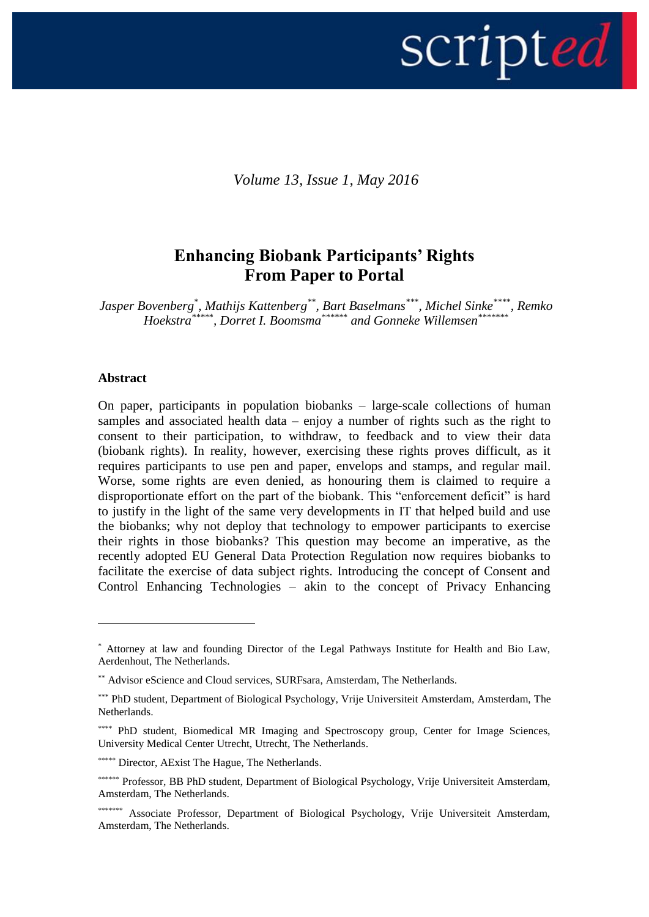

*Volume 13, Issue 1, May 2016*

# **Enhancing Biobank Participants' Rights From Paper to Portal**

*Jasper Bovenberg*\* *, Mathijs Kattenberg\**\* *, Bart Baselmans\*\**\* *, Michel Sinke\*\*\**\* *, Remko Hoekstra\*\*\*\**\* *, Dorret I. Boomsma\*\*\*\*\**\* *and Gonneke Willemsen\*\*\*\*\*\**\*

#### **Abstract**

<u>.</u>

On paper, participants in population biobanks – large-scale collections of human samples and associated health data – enjoy a number of rights such as the right to consent to their participation, to withdraw, to feedback and to view their data (biobank rights). In reality, however, exercising these rights proves difficult, as it requires participants to use pen and paper, envelops and stamps, and regular mail. Worse, some rights are even denied, as honouring them is claimed to require a disproportionate effort on the part of the biobank. This "enforcement deficit" is hard to justify in the light of the same very developments in IT that helped build and use the biobanks; why not deploy that technology to empower participants to exercise their rights in those biobanks? This question may become an imperative, as the recently adopted EU General Data Protection Regulation now requires biobanks to facilitate the exercise of data subject rights. Introducing the concept of Consent and Control Enhancing Technologies – akin to the concept of Privacy Enhancing

<sup>\*</sup> Attorney at law and founding Director of the Legal Pathways Institute for Health and Bio Law, Aerdenhout, The Netherlands.

<sup>\*\*</sup> Advisor eScience and Cloud services, SURFsara, Amsterdam, The Netherlands.

<sup>\*\*\*</sup> PhD student, Department of Biological Psychology, Vrije Universiteit Amsterdam, Amsterdam, The Netherlands.

<sup>\*\*\*\*</sup> PhD student, Biomedical MR Imaging and Spectroscopy group, Center for Image Sciences, University Medical Center Utrecht, Utrecht, The Netherlands.

<sup>\*\*\*\*\*\*</sup> Director, AExist The Hague, The Netherlands.

<sup>\*\*\*\*\*\*</sup> Professor, BB PhD student, Department of Biological Psychology, Vrije Universiteit Amsterdam, Amsterdam, The Netherlands.

<sup>\*\*\*\*\*\*\*\*</sup> Associate Professor, Department of Biological Psychology, Vrije Universiteit Amsterdam, Amsterdam, The Netherlands.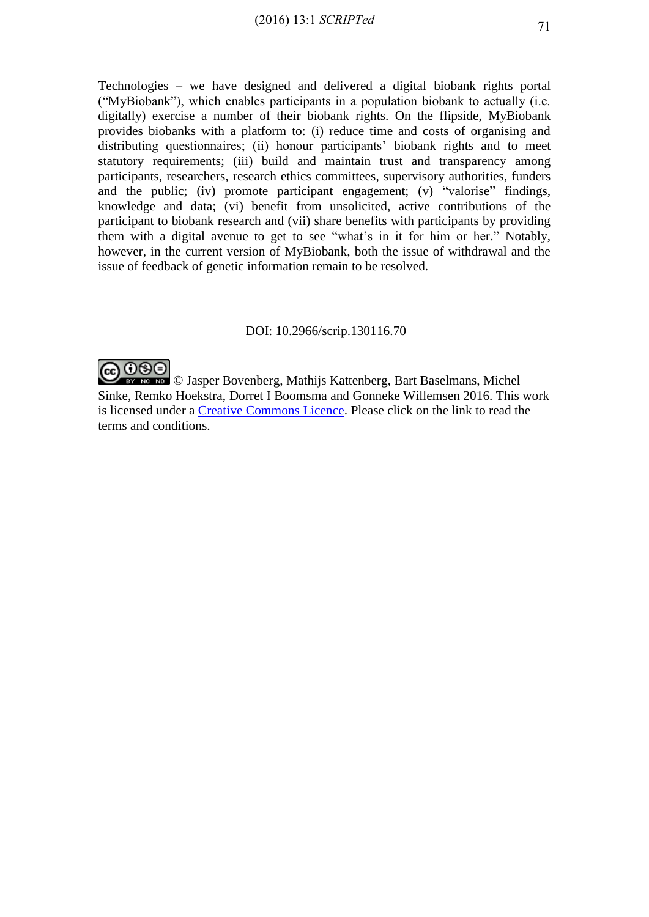Technologies – we have designed and delivered a digital biobank rights portal ("MyBiobank"), which enables participants in a population biobank to actually (i.e. digitally) exercise a number of their biobank rights. On the flipside, MyBiobank provides biobanks with a platform to: (i) reduce time and costs of organising and distributing questionnaires; (ii) honour participants' biobank rights and to meet statutory requirements; (iii) build and maintain trust and transparency among participants, researchers, research ethics committees, supervisory authorities, funders and the public; (iv) promote participant engagement; (v) "valorise" findings, knowledge and data; (vi) benefit from unsolicited, active contributions of the participant to biobank research and (vii) share benefits with participants by providing them with a digital avenue to get to see "what's in it for him or her." Notably, however, in the current version of MyBiobank, both the issue of withdrawal and the issue of feedback of genetic information remain to be resolved.

### DOI: 10.2966/scrip.130116.70



**EX NG NG** © Jasper Bovenberg, Mathijs Kattenberg, Bart Baselmans, Michel Sinke, Remko Hoekstra, Dorret I Boomsma and Gonneke Willemsen 2016. This work is licensed under a [Creative Commons Licence.](http://creativecommons.org/licenses/by-nc-nd/2.5/scotland/) Please click on the link to read the terms and conditions.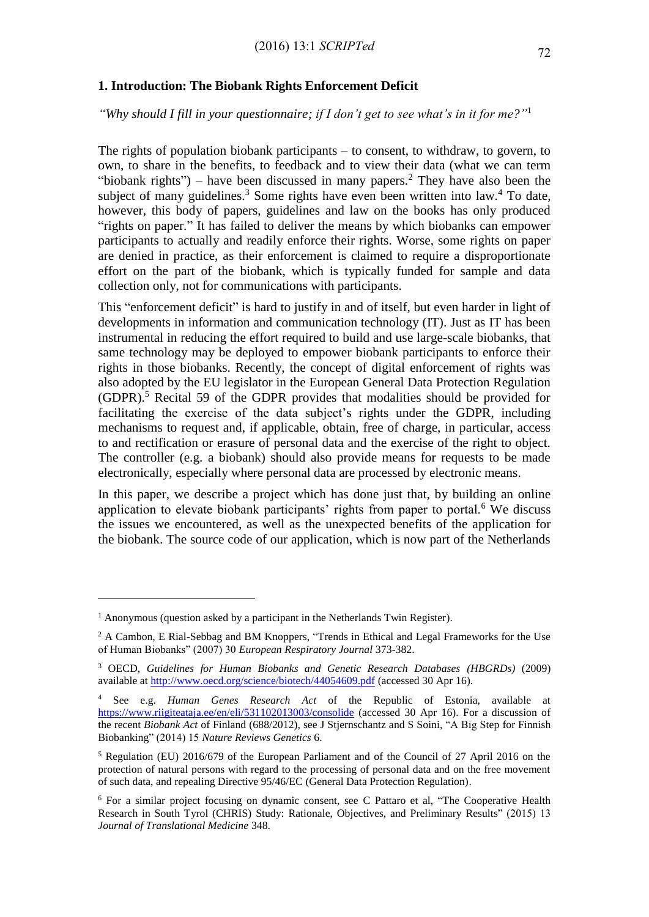# **1. Introduction: The Biobank Rights Enforcement Deficit**

*"Why should I fill in your questionnaire; if I don't get to see what's in it for me?"* 1

The rights of population biobank participants – to consent, to withdraw, to govern, to own, to share in the benefits, to feedback and to view their data (what we can term "biobank rights") – have been discussed in many papers.<sup>2</sup> They have also been the subject of many guidelines.<sup>3</sup> Some rights have even been written into law.<sup>4</sup> To date, however, this body of papers, guidelines and law on the books has only produced "rights on paper." It has failed to deliver the means by which biobanks can empower participants to actually and readily enforce their rights. Worse, some rights on paper are denied in practice, as their enforcement is claimed to require a disproportionate effort on the part of the biobank, which is typically funded for sample and data collection only, not for communications with participants.

This "enforcement deficit" is hard to justify in and of itself, but even harder in light of developments in information and communication technology (IT). Just as IT has been instrumental in reducing the effort required to build and use large-scale biobanks, that same technology may be deployed to empower biobank participants to enforce their rights in those biobanks. Recently, the concept of digital enforcement of rights was also adopted by the EU legislator in the European General Data Protection Regulation  $(GDPR)$ .<sup>5</sup> Recital 59 of the GDPR provides that modalities should be provided for facilitating the exercise of the data subject's rights under the GDPR, including mechanisms to request and, if applicable, obtain, free of charge, in particular, access to and rectification or erasure of personal data and the exercise of the right to object. The controller (e.g. a biobank) should also provide means for requests to be made electronically, especially where personal data are processed by electronic means.

In this paper, we describe a project which has done just that, by building an online application to elevate biobank participants' rights from paper to portal.<sup>6</sup> We discuss the issues we encountered, as well as the unexpected benefits of the application for the biobank. The source code of our application, which is now part of the Netherlands

<u>.</u>

 $1$  Anonymous (question asked by a participant in the Netherlands Twin Register).

<sup>&</sup>lt;sup>2</sup> A Cambon, E Rial-Sebbag and BM Knoppers, "Trends in Ethical and Legal Frameworks for the Use of Human Biobanks" (2007) 30 *European Respiratory Journal* 373-382.

<sup>3</sup> OECD, *Guidelines for Human Biobanks and Genetic Research Databases (HBGRDs)* (2009) available at<http://www.oecd.org/science/biotech/44054609.pdf> (accessed 30 Apr 16).

<sup>4</sup> See e.g. *Human Genes Research Act* of the Republic of Estonia, available at <https://www.riigiteataja.ee/en/eli/531102013003/consolide> (accessed 30 Apr 16). For a discussion of the recent *Biobank Act* of Finland (688/2012), see J Stjernschantz and S Soini, "A Big Step for Finnish Biobanking" (2014) 15 *Nature Reviews Genetics* 6.

<sup>5</sup> Regulation (EU) 2016/679 of the European Parliament and of the Council of 27 April 2016 on the protection of natural persons with regard to the processing of personal data and on the free movement of such data, and repealing Directive 95/46/EC (General Data Protection Regulation).

<sup>6</sup> For a similar project focusing on dynamic consent, see C Pattaro et al, "The Cooperative Health Research in South Tyrol (CHRIS) Study: Rationale, Objectives, and Preliminary Results" (2015) 13 *Journal of Translational Medicine* 348.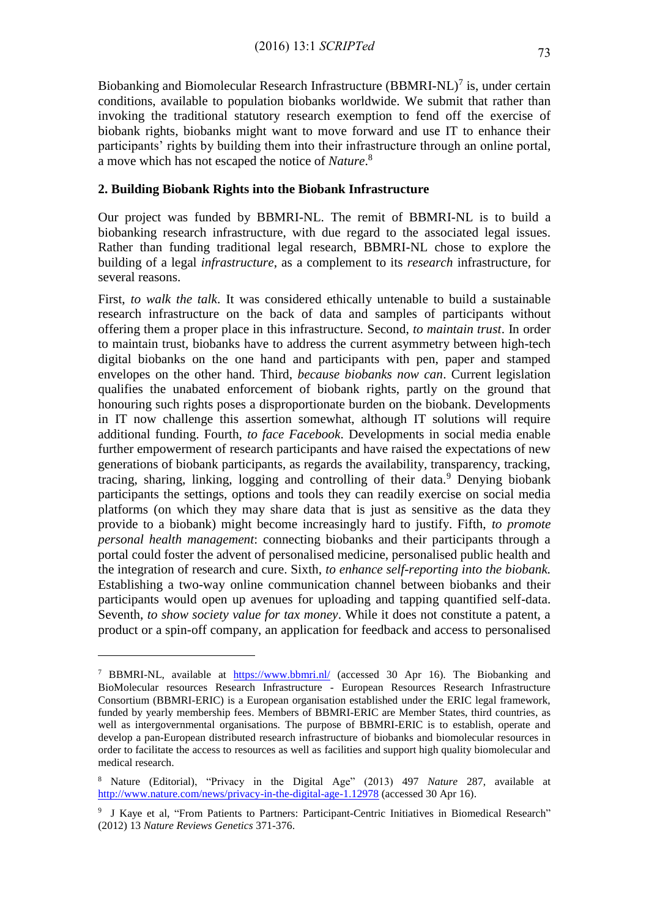Biobanking and Biomolecular Research Infrastructure  $(BBMRI-NL)^7$  is, under certain conditions, available to population biobanks worldwide. We submit that rather than invoking the traditional statutory research exemption to fend off the exercise of biobank rights, biobanks might want to move forward and use IT to enhance their participants' rights by building them into their infrastructure through an online portal, a move which has not escaped the notice of *Nature*. 8

# **2. Building Biobank Rights into the Biobank Infrastructure**

Our project was funded by BBMRI-NL. The remit of BBMRI-NL is to build a biobanking research infrastructure, with due regard to the associated legal issues. Rather than funding traditional legal research, BBMRI-NL chose to explore the building of a legal *infrastructure*, as a complement to its *research* infrastructure, for several reasons.

First, *to walk the talk*. It was considered ethically untenable to build a sustainable research infrastructure on the back of data and samples of participants without offering them a proper place in this infrastructure. Second, *to maintain trust*. In order to maintain trust, biobanks have to address the current asymmetry between high-tech digital biobanks on the one hand and participants with pen, paper and stamped envelopes on the other hand. Third, *because biobanks now can*. Current legislation qualifies the unabated enforcement of biobank rights, partly on the ground that honouring such rights poses a disproportionate burden on the biobank. Developments in IT now challenge this assertion somewhat, although IT solutions will require additional funding. Fourth, *to face Facebook*. Developments in social media enable further empowerment of research participants and have raised the expectations of new generations of biobank participants, as regards the availability, transparency, tracking, tracing, sharing, linking, logging and controlling of their data.<sup>9</sup> Denying biobank participants the settings, options and tools they can readily exercise on social media platforms (on which they may share data that is just as sensitive as the data they provide to a biobank) might become increasingly hard to justify. Fifth, *to promote personal health management*: connecting biobanks and their participants through a portal could foster the advent of personalised medicine, personalised public health and the integration of research and cure. Sixth, *to enhance self-reporting into the biobank.*  Establishing a two-way online communication channel between biobanks and their participants would open up avenues for uploading and tapping quantified self-data. Seventh, *to show society value for tax money*. While it does not constitute a patent, a product or a spin-off company, an application for feedback and access to personalised

<u>.</u>

<sup>7</sup> BBMRI-NL, available at <https://www.bbmri.nl/> (accessed 30 Apr 16). The Biobanking and BioMolecular resources Research Infrastructure - European Resources Research Infrastructure Consortium (BBMRI-ERIC) is a European organisation established under the ERIC legal framework, funded by yearly membership fees. Members of BBMRI-ERIC are Member States, third countries, as well as intergovernmental organisations. The purpose of BBMRI-ERIC is to establish, operate and develop a pan-European distributed research infrastructure of biobanks and biomolecular resources in order to facilitate the access to resources as well as facilities and support high quality biomolecular and medical research.

<sup>8</sup> Nature (Editorial), "Privacy in the Digital Age" (2013) 497 *Nature* 287, available at <http://www.nature.com/news/privacy-in-the-digital-age-1.12978> (accessed 30 Apr 16).

<sup>9</sup> J Kaye et al, "From Patients to Partners: Participant-Centric Initiatives in Biomedical Research" (2012) 13 *Nature Reviews Genetics* 371-376.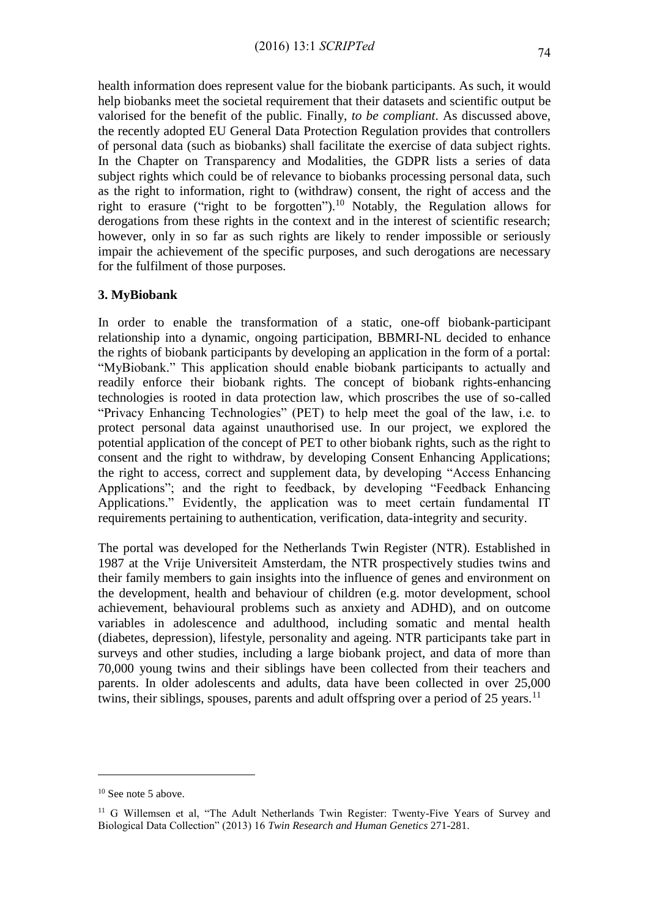health information does represent value for the biobank participants. As such, it would help biobanks meet the societal requirement that their datasets and scientific output be valorised for the benefit of the public. Finally, *to be compliant*. As discussed above, the recently adopted EU General Data Protection Regulation provides that controllers of personal data (such as biobanks) shall facilitate the exercise of data subject rights. In the Chapter on Transparency and Modalities, the GDPR lists a series of data subject rights which could be of relevance to biobanks processing personal data, such as the right to information, right to (withdraw) consent, the right of access and the right to erasure ("right to be forgotten").<sup>10</sup> Notably, the Regulation allows for derogations from these rights in the context and in the interest of scientific research; however, only in so far as such rights are likely to render impossible or seriously impair the achievement of the specific purposes, and such derogations are necessary for the fulfilment of those purposes*.*

#### **3. MyBiobank**

In order to enable the transformation of a static, one-off biobank-participant relationship into a dynamic, ongoing participation, BBMRI-NL decided to enhance the rights of biobank participants by developing an application in the form of a portal: "MyBiobank." This application should enable biobank participants to actually and readily enforce their biobank rights. The concept of biobank rights-enhancing technologies is rooted in data protection law, which proscribes the use of so-called "Privacy Enhancing Technologies" (PET) to help meet the goal of the law, i.e. to protect personal data against unauthorised use. In our project, we explored the potential application of the concept of PET to other biobank rights, such as the right to consent and the right to withdraw, by developing Consent Enhancing Applications; the right to access, correct and supplement data, by developing "Access Enhancing Applications"; and the right to feedback, by developing "Feedback Enhancing Applications." Evidently, the application was to meet certain fundamental IT requirements pertaining to authentication, verification, data-integrity and security.

The portal was developed for the Netherlands Twin Register (NTR). Established in 1987 at the Vrije Universiteit Amsterdam, the NTR prospectively studies twins and their family members to gain insights into the influence of genes and environment on the development, health and behaviour of children (e.g. motor development, school achievement, behavioural problems such as anxiety and ADHD), and on outcome variables in adolescence and adulthood, including somatic and mental health (diabetes, depression), lifestyle, personality and ageing. NTR participants take part in surveys and other studies, including a large biobank project, and data of more than 70,000 young twins and their siblings have been collected from their teachers and parents. In older adolescents and adults, data have been collected in over 25,000 twins, their siblings, spouses, parents and adult offspring over a period of 25 years.<sup>11</sup>

<u>.</u>

<sup>&</sup>lt;sup>10</sup> See note 5 above.

<sup>&</sup>lt;sup>11</sup> G Willemsen et al, "The Adult Netherlands Twin Register: Twenty-Five Years of Survey and Biological Data Collection" (2013) 16 *Twin Research and Human Genetics* 271-281.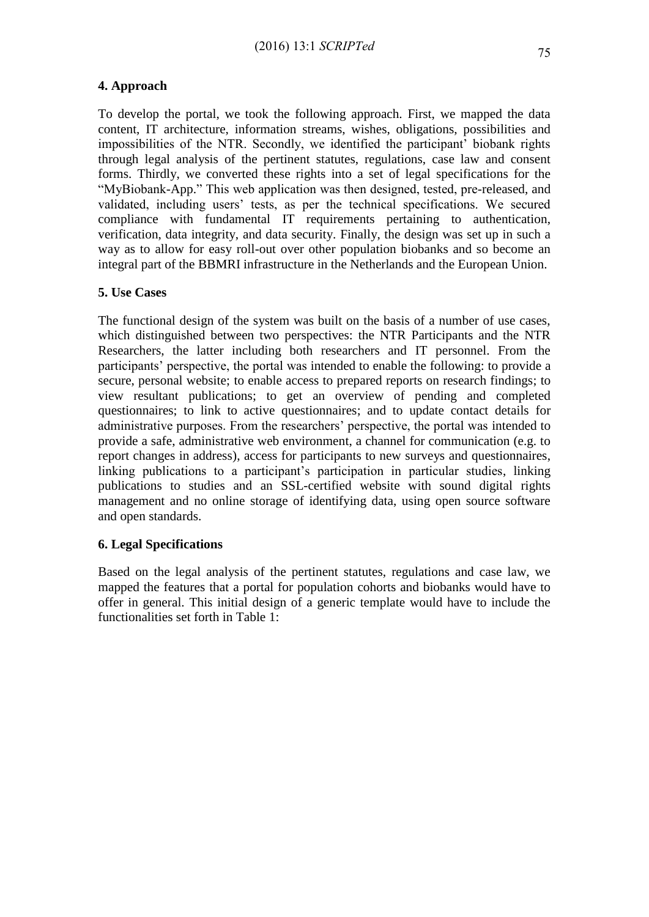# **4. Approach**

To develop the portal, we took the following approach. First, we mapped the data content, IT architecture, information streams, wishes, obligations, possibilities and impossibilities of the NTR. Secondly, we identified the participant' biobank rights through legal analysis of the pertinent statutes, regulations, case law and consent forms. Thirdly, we converted these rights into a set of legal specifications for the "MyBiobank-App." This web application was then designed, tested, pre-released, and validated, including users' tests, as per the technical specifications. We secured compliance with fundamental IT requirements pertaining to authentication, verification, data integrity, and data security. Finally, the design was set up in such a way as to allow for easy roll-out over other population biobanks and so become an integral part of the BBMRI infrastructure in the Netherlands and the European Union.

# **5. Use Cases**

The functional design of the system was built on the basis of a number of use cases, which distinguished between two perspectives: the NTR Participants and the NTR Researchers, the latter including both researchers and IT personnel. From the participants' perspective, the portal was intended to enable the following: to provide a secure, personal website; to enable access to prepared reports on research findings; to view resultant publications; to get an overview of pending and completed questionnaires; to link to active questionnaires; and to update contact details for administrative purposes. From the researchers' perspective, the portal was intended to provide a safe, administrative web environment, a channel for communication (e.g. to report changes in address), access for participants to new surveys and questionnaires, linking publications to a participant's participation in particular studies, linking publications to studies and an SSL-certified website with sound digital rights management and no online storage of identifying data, using open source software and open standards.

# **6. Legal Specifications**

Based on the legal analysis of the pertinent statutes, regulations and case law, we mapped the features that a portal for population cohorts and biobanks would have to offer in general. This initial design of a generic template would have to include the functionalities set forth in Table 1: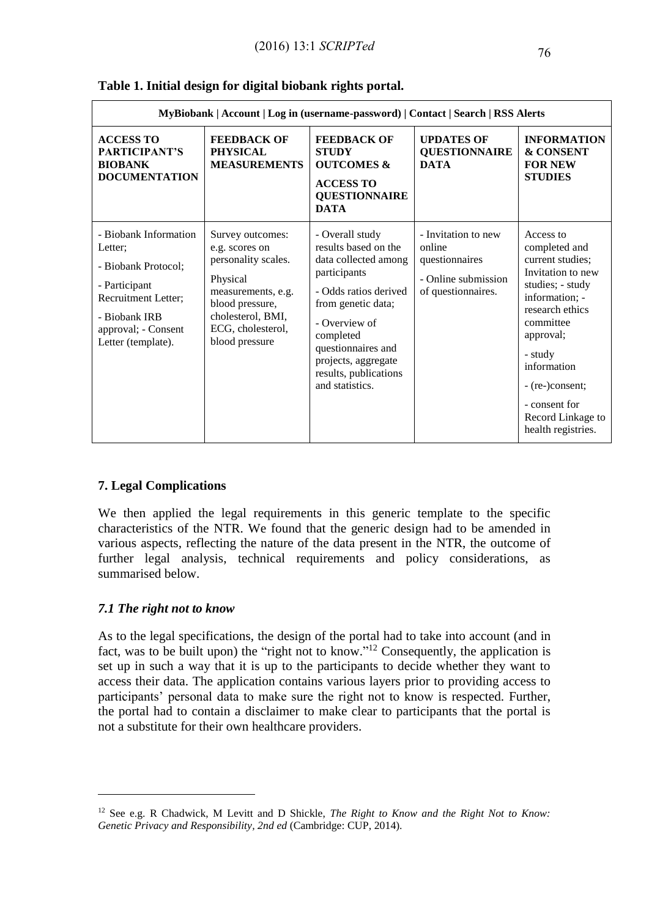|                                                                                                                                                               | MyBiobank   Account   Log in (username-password)   Contact   Search   RSS Alerts                                                                                           |                                                                                                                                                                                                                                                       |                                                                                              |                                                                                                                                                                                                                                                                 |
|---------------------------------------------------------------------------------------------------------------------------------------------------------------|----------------------------------------------------------------------------------------------------------------------------------------------------------------------------|-------------------------------------------------------------------------------------------------------------------------------------------------------------------------------------------------------------------------------------------------------|----------------------------------------------------------------------------------------------|-----------------------------------------------------------------------------------------------------------------------------------------------------------------------------------------------------------------------------------------------------------------|
| <b>ACCESS TO</b><br>PARTICIPANT'S<br><b>BIOBANK</b><br><b>DOCUMENTATION</b>                                                                                   | <b>FEEDBACK OF</b><br><b>PHYSICAL</b><br><b>MEASUREMENTS</b>                                                                                                               | <b>FEEDBACK OF</b><br><b>STUDY</b><br><b>OUTCOMES &amp;</b><br><b>ACCESS TO</b><br><b>QUESTIONNAIRE</b><br><b>DATA</b>                                                                                                                                | <b>UPDATES OF</b><br><b>QUESTIONNAIRE</b><br><b>DATA</b>                                     | <b>INFORMATION</b><br>& CONSENT<br><b>FOR NEW</b><br><b>STUDIES</b>                                                                                                                                                                                             |
| - Biobank Information<br>Letter;<br>- Biobank Protocol;<br>- Participant<br>Recruitment Letter;<br>- Biobank IRB<br>approval; - Consent<br>Letter (template). | Survey outcomes:<br>e.g. scores on<br>personality scales.<br>Physical<br>measurements, e.g.<br>blood pressure,<br>cholesterol, BMI,<br>ECG, cholesterol,<br>blood pressure | - Overall study<br>results based on the<br>data collected among<br>participants<br>- Odds ratios derived<br>from genetic data;<br>- Overview of<br>completed<br>questionnaires and<br>projects, aggregate<br>results, publications<br>and statistics. | - Invitation to new<br>online<br>questionnaires<br>- Online submission<br>of questionnaires. | Access to<br>completed and<br>current studies;<br>Invitation to new<br>studies; - study<br>information; -<br>research ethics<br>committee<br>approval;<br>- study<br>information<br>- (re-)consent;<br>- consent for<br>Record Linkage to<br>health registries. |

### **Table 1. Initial design for digital biobank rights portal.**

# **7. Legal Complications**

We then applied the legal requirements in this generic template to the specific characteristics of the NTR. We found that the generic design had to be amended in various aspects, reflecting the nature of the data present in the NTR, the outcome of further legal analysis, technical requirements and policy considerations, as summarised below.

# *7.1 The right not to know*

1

As to the legal specifications, the design of the portal had to take into account (and in fact, was to be built upon) the "right not to know."<sup>12</sup> Consequently, the application is set up in such a way that it is up to the participants to decide whether they want to access their data. The application contains various layers prior to providing access to participants' personal data to make sure the right not to know is respected. Further, the portal had to contain a disclaimer to make clear to participants that the portal is not a substitute for their own healthcare providers.

<sup>12</sup> See e.g. R Chadwick, M Levitt and D Shickle, *The Right to Know and the Right Not to Know: Genetic Privacy and Responsibility, 2nd ed* (Cambridge: CUP, 2014).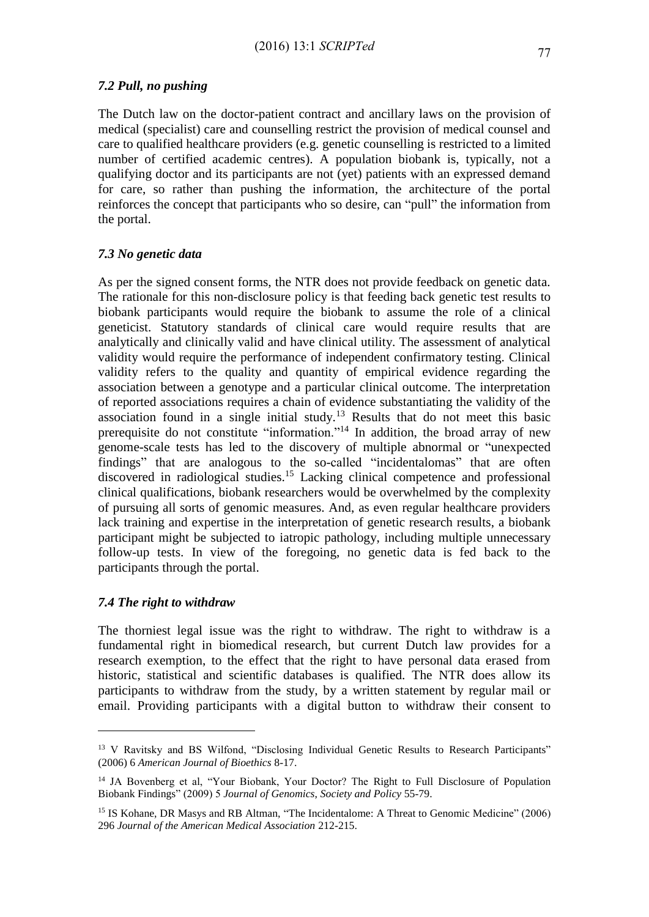# *7.2 Pull, no pushing*

The Dutch law on the doctor-patient contract and ancillary laws on the provision of medical (specialist) care and counselling restrict the provision of medical counsel and care to qualified healthcare providers (e.g. genetic counselling is restricted to a limited number of certified academic centres). A population biobank is, typically, not a qualifying doctor and its participants are not (yet) patients with an expressed demand for care, so rather than pushing the information, the architecture of the portal reinforces the concept that participants who so desire, can "pull" the information from the portal.

# *7.3 No genetic data*

As per the signed consent forms, the NTR does not provide feedback on genetic data. The rationale for this non-disclosure policy is that feeding back genetic test results to biobank participants would require the biobank to assume the role of a clinical geneticist. Statutory standards of clinical care would require results that are analytically and clinically valid and have clinical utility. The assessment of analytical validity would require the performance of independent confirmatory testing. Clinical validity refers to the quality and quantity of empirical evidence regarding the association between a genotype and a particular clinical outcome. The interpretation of reported associations requires a chain of evidence substantiating the validity of the association found in a single initial study.<sup>13</sup> Results that do not meet this basic prerequisite do not constitute "information."<sup>14</sup> In addition, the broad array of new genome-scale tests has led to the discovery of multiple abnormal or "unexpected findings" that are analogous to the so-called "incidentalomas" that are often discovered in radiological studies.<sup>15</sup> Lacking clinical competence and professional clinical qualifications, biobank researchers would be overwhelmed by the complexity of pursuing all sorts of genomic measures. And, as even regular healthcare providers lack training and expertise in the interpretation of genetic research results, a biobank participant might be subjected to iatropic pathology, including multiple unnecessary follow-up tests. In view of the foregoing, no genetic data is fed back to the participants through the portal.

# *7.4 The right to withdraw*

1

The thorniest legal issue was the right to withdraw. The right to withdraw is a fundamental right in biomedical research, but current Dutch law provides for a research exemption, to the effect that the right to have personal data erased from historic, statistical and scientific databases is qualified. The NTR does allow its participants to withdraw from the study, by a written statement by regular mail or email. Providing participants with a digital button to withdraw their consent to

<sup>&</sup>lt;sup>13</sup> V Ravitsky and BS Wilfond, "Disclosing Individual Genetic Results to Research Participants" (2006) 6 *American Journal of Bioethics* 8-17.

<sup>&</sup>lt;sup>14</sup> JA Bovenberg et al, "Your Biobank, Your Doctor? The Right to Full Disclosure of Population Biobank Findings" (2009) 5 *Journal of Genomics*, *Society and Policy* 55-79.

<sup>&</sup>lt;sup>15</sup> IS Kohane, DR Masys and RB Altman, "The Incidentalome: A Threat to Genomic Medicine" (2006) 296 *Journal of the American Medical Association* 212-215.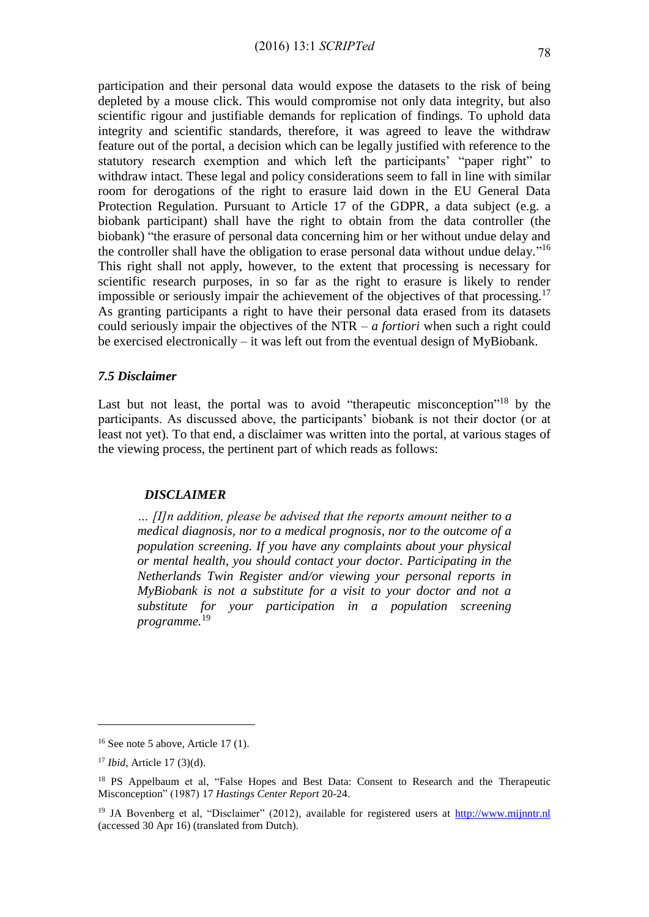participation and their personal data would expose the datasets to the risk of being depleted by a mouse click. This would compromise not only data integrity, but also scientific rigour and justifiable demands for replication of findings. To uphold data integrity and scientific standards, therefore, it was agreed to leave the withdraw feature out of the portal, a decision which can be legally justified with reference to the statutory research exemption and which left the participants' "paper right" to withdraw intact. These legal and policy considerations seem to fall in line with similar room for derogations of the right to erasure laid down in the EU General Data Protection Regulation. Pursuant to Article 17 of the GDPR, a data subject (e.g. a biobank participant) shall have the right to obtain from the data controller (the biobank) "the erasure of personal data concerning him or her without undue delay and the controller shall have the obligation to erase personal data without undue delay."<sup>16</sup> This right shall not apply, however, to the extent that processing is necessary for scientific research purposes, in so far as the right to erasure is likely to render impossible or seriously impair the achievement of the objectives of that processing.<sup>17</sup> As granting participants a right to have their personal data erased from its datasets could seriously impair the objectives of the NTR – *a fortiori* when such a right could be exercised electronically – it was left out from the eventual design of MyBiobank.

#### *7.5 Disclaimer*

Last but not least, the portal was to avoid "therapeutic misconception"<sup>18</sup> by the participants. As discussed above, the participants' biobank is not their doctor (or at least not yet). To that end, a disclaimer was written into the portal, at various stages of the viewing process, the pertinent part of which reads as follows:

#### *DISCLAIMER*

*… [I]n addition, please be advised that the reports amount neither to a medical diagnosis, nor to a medical prognosis, nor to the outcome of a population screening. If you have any complaints about your physical or mental health, you should contact your doctor. Participating in the Netherlands Twin Register and/or viewing your personal reports in MyBiobank is not a substitute for a visit to your doctor and not a substitute for your participation in a population screening programme.*<sup>19</sup>

1

 $16$  See note 5 above, Article 17 (1).

<sup>17</sup> *Ibid*, Article 17 (3)(d).

<sup>&</sup>lt;sup>18</sup> PS Appelbaum et al, "False Hopes and Best Data: Consent to Research and the Therapeutic Misconception" (1987) 17 *Hastings Center Report* 20-24.

<sup>&</sup>lt;sup>19</sup> JA Bovenberg et al, "Disclaimer" (2012), available for registered users at [http://www.mijnntr.nl](http://www.mijnntr.nl/) (accessed 30 Apr 16) (translated from Dutch).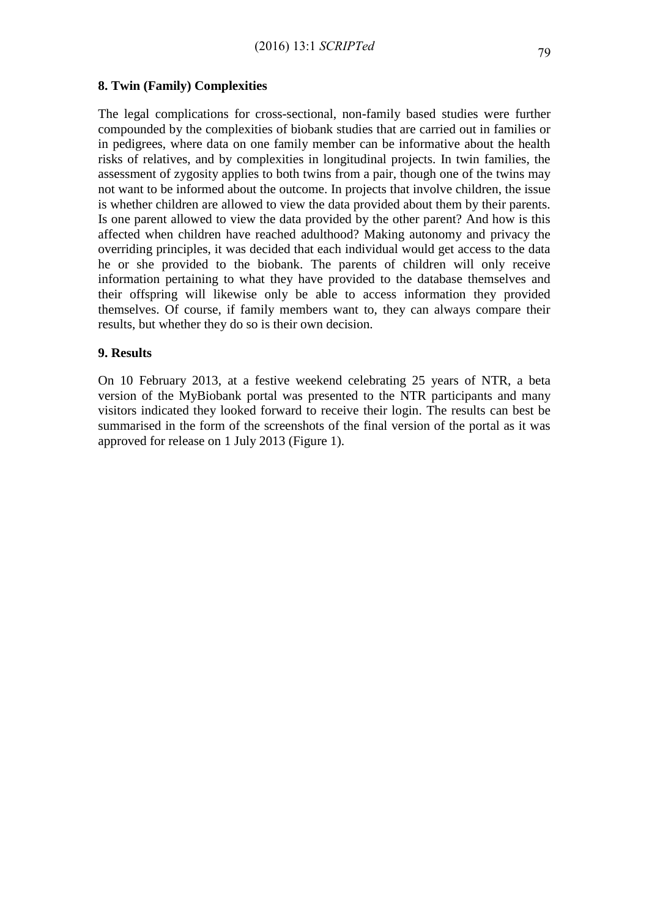# **8. Twin (Family) Complexities**

The legal complications for cross-sectional, non-family based studies were further compounded by the complexities of biobank studies that are carried out in families or in pedigrees, where data on one family member can be informative about the health risks of relatives, and by complexities in longitudinal projects. In twin families, the assessment of zygosity applies to both twins from a pair, though one of the twins may not want to be informed about the outcome. In projects that involve children, the issue is whether children are allowed to view the data provided about them by their parents. Is one parent allowed to view the data provided by the other parent? And how is this affected when children have reached adulthood? Making autonomy and privacy the overriding principles, it was decided that each individual would get access to the data he or she provided to the biobank. The parents of children will only receive information pertaining to what they have provided to the database themselves and their offspring will likewise only be able to access information they provided themselves. Of course, if family members want to, they can always compare their results, but whether they do so is their own decision.

# **9. Results**

On 10 February 2013, at a festive weekend celebrating 25 years of NTR, a beta version of the MyBiobank portal was presented to the NTR participants and many visitors indicated they looked forward to receive their login. The results can best be summarised in the form of the screenshots of the final version of the portal as it was approved for release on 1 July 2013 (Figure 1).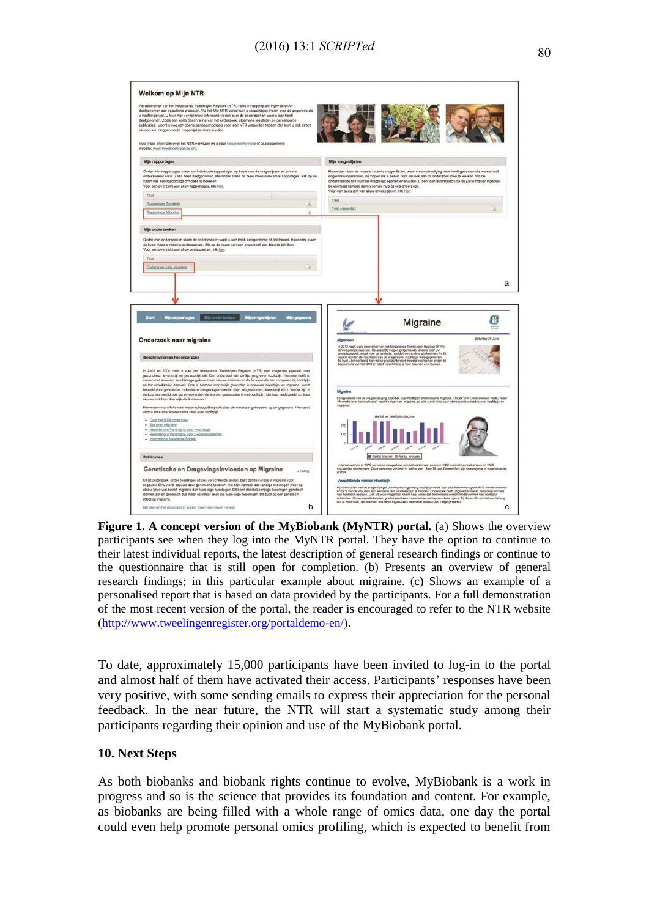| deelgenomen. Zoals een korte beschrijving van het onderzoek, algemene resultaten en gerelateerde<br>publicaties. Mocht u nog een openstaande uitnodiging voor een NTR vragenlijst hebben dan kunt u ook direct<br>via een link inloggen op de vragenlijst en deze invullen.                                                                                                                                                                                                                                                                                                                                                                                                                                                                                                                                                                                                                                                            | Als deelnemer van het Nederlands Tweelingen Register (NTR) heeft u vragenlijsten ingevuld en/of<br>deelgenomen aan specifieke projecten. Via het Mijn NTR portal kunt u rapportages inzien over de gegevens die<br>u heeft ingevold. U kunt hier verder meer informatie vinden over de onderzoeken waar u aan heeft |                                                                                                                                                                                                                                                                                                                                                                                                 |                                                                                                                                                                                                                                                                                                                                 |  |
|----------------------------------------------------------------------------------------------------------------------------------------------------------------------------------------------------------------------------------------------------------------------------------------------------------------------------------------------------------------------------------------------------------------------------------------------------------------------------------------------------------------------------------------------------------------------------------------------------------------------------------------------------------------------------------------------------------------------------------------------------------------------------------------------------------------------------------------------------------------------------------------------------------------------------------------|---------------------------------------------------------------------------------------------------------------------------------------------------------------------------------------------------------------------------------------------------------------------------------------------------------------------|-------------------------------------------------------------------------------------------------------------------------------------------------------------------------------------------------------------------------------------------------------------------------------------------------------------------------------------------------------------------------------------------------|---------------------------------------------------------------------------------------------------------------------------------------------------------------------------------------------------------------------------------------------------------------------------------------------------------------------------------|--|
| Voor meer informatie over het NTR verwijzen wij u naar Verdere informatie of onze algemene<br>website: www.tweelingenregister.org.                                                                                                                                                                                                                                                                                                                                                                                                                                                                                                                                                                                                                                                                                                                                                                                                     |                                                                                                                                                                                                                                                                                                                     |                                                                                                                                                                                                                                                                                                                                                                                                 |                                                                                                                                                                                                                                                                                                                                 |  |
| Mijn rapportages                                                                                                                                                                                                                                                                                                                                                                                                                                                                                                                                                                                                                                                                                                                                                                                                                                                                                                                       |                                                                                                                                                                                                                                                                                                                     | Mijn vragenlijsten                                                                                                                                                                                                                                                                                                                                                                              |                                                                                                                                                                                                                                                                                                                                 |  |
| Order min rapportages staan uw individuele rapportages op basis van de vragenlijsten en andere.<br>onderzoeken waar u aan heeft deelgenomen. Hieronder staan de twee meeste recente rapportages. Kilk op de<br>naam van een rapportage om deze te bekijken.<br>Voor een overzicht van al uw rapportages, klik hinr.                                                                                                                                                                                                                                                                                                                                                                                                                                                                                                                                                                                                                    |                                                                                                                                                                                                                                                                                                                     | Bi voorbaat hartelik dank voor uw hulp bi ons onderzoek.<br>Voor een overzicht van al uw onderzoeken, klik hier.                                                                                                                                                                                                                                                                                | Hieronder staan de meeste recente vragenlijsten, waar u een uitnodiging voor heeft gehad en die momenteel<br>nog voor u openstaan. Wij hopen dat u bereid bent om ook aan dit onderzoek mee te werken. Via de<br>onderstaande link kunt de vragenlijst openen en invullen. U bent dan automatisch op de juiste manier ingelogd. |  |
| Tital                                                                                                                                                                                                                                                                                                                                                                                                                                                                                                                                                                                                                                                                                                                                                                                                                                                                                                                                  |                                                                                                                                                                                                                                                                                                                     | Tital                                                                                                                                                                                                                                                                                                                                                                                           |                                                                                                                                                                                                                                                                                                                                 |  |
| Rapportage Tandarts                                                                                                                                                                                                                                                                                                                                                                                                                                                                                                                                                                                                                                                                                                                                                                                                                                                                                                                    | a.                                                                                                                                                                                                                                                                                                                  | Test vraperlist                                                                                                                                                                                                                                                                                                                                                                                 | l al                                                                                                                                                                                                                                                                                                                            |  |
| Rapportage Migraire                                                                                                                                                                                                                                                                                                                                                                                                                                                                                                                                                                                                                                                                                                                                                                                                                                                                                                                    | a                                                                                                                                                                                                                                                                                                                   |                                                                                                                                                                                                                                                                                                                                                                                                 |                                                                                                                                                                                                                                                                                                                                 |  |
| Mijn onderzoeken<br>Onder mijn onderzoeken staan de onderzoeken waar u aan heeft deelgenomen of deelneemt. Hieronder staan                                                                                                                                                                                                                                                                                                                                                                                                                                                                                                                                                                                                                                                                                                                                                                                                             |                                                                                                                                                                                                                                                                                                                     |                                                                                                                                                                                                                                                                                                                                                                                                 |                                                                                                                                                                                                                                                                                                                                 |  |
| de twee meeste recente onderzoeken. Klik op de naam van een onderzoek om deze te bekijken.<br>Voor een overzicht van al uw onderzoeken, kilk hier.                                                                                                                                                                                                                                                                                                                                                                                                                                                                                                                                                                                                                                                                                                                                                                                     |                                                                                                                                                                                                                                                                                                                     |                                                                                                                                                                                                                                                                                                                                                                                                 |                                                                                                                                                                                                                                                                                                                                 |  |
| Titel                                                                                                                                                                                                                                                                                                                                                                                                                                                                                                                                                                                                                                                                                                                                                                                                                                                                                                                                  | i aj                                                                                                                                                                                                                                                                                                                |                                                                                                                                                                                                                                                                                                                                                                                                 |                                                                                                                                                                                                                                                                                                                                 |  |
|                                                                                                                                                                                                                                                                                                                                                                                                                                                                                                                                                                                                                                                                                                                                                                                                                                                                                                                                        |                                                                                                                                                                                                                                                                                                                     |                                                                                                                                                                                                                                                                                                                                                                                                 |                                                                                                                                                                                                                                                                                                                                 |  |
| Mijn rapportages (1) Mijn onderzoeken<br><b>Mijn vragenijsten</b><br><b>Start</b>                                                                                                                                                                                                                                                                                                                                                                                                                                                                                                                                                                                                                                                                                                                                                                                                                                                      | Mijn gegevens                                                                                                                                                                                                                                                                                                       |                                                                                                                                                                                                                                                                                                                                                                                                 | 8<br>Migraine<br>₩                                                                                                                                                                                                                                                                                                              |  |
|                                                                                                                                                                                                                                                                                                                                                                                                                                                                                                                                                                                                                                                                                                                                                                                                                                                                                                                                        |                                                                                                                                                                                                                                                                                                                     | Algemeen                                                                                                                                                                                                                                                                                                                                                                                        | Saturday 29 June                                                                                                                                                                                                                                                                                                                |  |
| Beschrijving van het onderzoek                                                                                                                                                                                                                                                                                                                                                                                                                                                                                                                                                                                                                                                                                                                                                                                                                                                                                                         |                                                                                                                                                                                                                                                                                                                     | In 2013 heeft u als deelnemer van het Nederlands Tweelingen Register (NTR)<br>een vragenlijst ingevuid. De gestelde vragen gingen onder andere over uw<br>tandartsbezoek, angst voor de tandarts, hoofdpijn en andere pijnklachten.<br>Zo kunt u bijvoorbeeld zien welke pijnklachten het meeste voorkomen onder de<br>deelnemers van het NTR en of dit verschillend is voor mannen en vrouwen. |                                                                                                                                                                                                                                                                                                                                 |  |
| Onderzoek naar migraine<br>In 2002 en 2004 heeft u voor het Nederlands Tweelingen Register (NTR) een vragenijst ingevuld over<br>gezondheid, levensstijl en persoorlijkheid. Een onderdeel van de lijst ging over hoofdpijn. Hiermee heeft u,<br>samen met anderen, een bijdrage geleverd aan nieuwe inzichten in de factoren die een rol spelen bij hoofdpijn<br>en het ontwikkelen daarvan. Ook is hierdoor inzichtelijk geworden in hoeverre hoofdpijn, en migraine, wordt<br>bepaald door genetische invloeden en omgevingsinvloeden (bijv. eetgewoonten, levensstijl, etc.). Vender zijn in<br>de loop van de tijd ook genen gevonden die worden geassocieerd met hoofdpijn. Uw hulp heeft geleid tot deze<br>nieuwe inzichten. Hartelijk dank daarvoor!<br>Hieronder vindt u links naar wetenschappelijke publicaties die mede zijn gebaseerd op uw gegevens. Hiernaast<br>vindt u links naar interessante sites over hoofdpijn. |                                                                                                                                                                                                                                                                                                                     | Migraine<br>migraine.                                                                                                                                                                                                                                                                                                                                                                           | Een gedeelte van de vragenlijst ging specifiek over hoofdpijn en met name migraine. Onder Mijn Onderzoeken' vindt u meer<br>Informatie over het onderzoek naar hoofdpijn en migraine, en ziet u ook links naar interessante websi                                                                                               |  |
| · Over het NTR onderzook<br>· Ste over migraine<br>· Nederlandse Vereniging voor Neurologie<br>· Nederlandse Vereniging voor Hoofdpingstiënten<br>· International Headache Society                                                                                                                                                                                                                                                                                                                                                                                                                                                                                                                                                                                                                                                                                                                                                     |                                                                                                                                                                                                                                                                                                                     | Aantal per Leeftidscategorie<br>200<br>100                                                                                                                                                                                                                                                                                                                                                      |                                                                                                                                                                                                                                                                                                                                 |  |
|                                                                                                                                                                                                                                                                                                                                                                                                                                                                                                                                                                                                                                                                                                                                                                                                                                                                                                                                        |                                                                                                                                                                                                                                                                                                                     | Aantal Mannen III Aantal Vrouwen                                                                                                                                                                                                                                                                                                                                                                |                                                                                                                                                                                                                                                                                                                                 |  |
| <b>Publicaties</b><br>Genetische en Omgevingsinvloeden op Migraine                                                                                                                                                                                                                                                                                                                                                                                                                                                                                                                                                                                                                                                                                                                                                                                                                                                                     | « Terug                                                                                                                                                                                                                                                                                                             |                                                                                                                                                                                                                                                                                                                                                                                                 | in totaal hebben er 2659 personen meegedaan aan het onderzoek waarvan 1000 mannelijke deelnemers en 1659<br>vrouwelijke deelnemens. Deze personen variëren in keeftjd van 18 tot 78 jaar. Deze cijfers zijn samengevat in bovenst                                                                                               |  |

**Figure 1. A concept version of the MyBiobank (MyNTR) portal.** (a) Shows the overview participants see when they log into the MyNTR portal. They have the option to continue to their latest individual reports, the latest description of general research findings or continue to the questionnaire that is still open for completion. (b) Presents an overview of general research findings; in this particular example about migraine. (c) Shows an example of a personalised report that is based on data provided by the participants. For a full demonstration of the most recent version of the portal, the reader is encouraged to refer to the NTR website [\(http://www.tweelingenregister.org/portaldemo-en/\)](http://www.tweelingenregister.org/portaldemo-en/).

To date, approximately 15,000 participants have been invited to log-in to the portal and almost half of them have activated their access. Participants' responses have been very positive, with some sending emails to express their appreciation for the personal feedback. In the near future, the NTR will start a systematic study among their participants regarding their opinion and use of the MyBiobank portal.

# **10. Next Steps**

As both biobanks and biobank rights continue to evolve, MyBiobank is a work in progress and so is the science that provides its foundation and content. For example, as biobanks are being filled with a whole range of omics data, one day the portal could even help promote personal omics profiling, which is expected to benefit from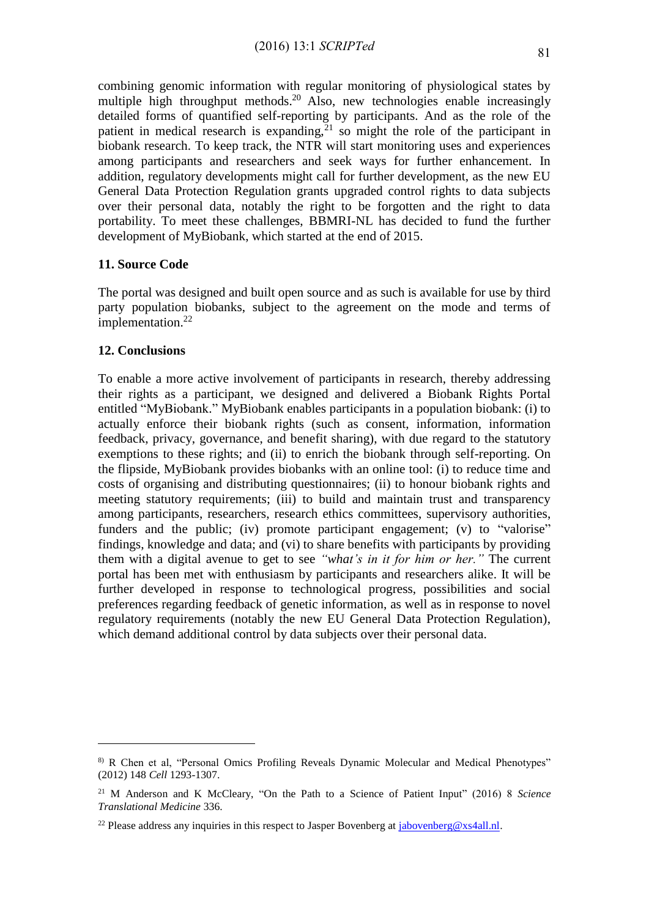combining genomic information with regular monitoring of physiological states by multiple high throughput methods.<sup>20</sup> Also, new technologies enable increasingly detailed forms of quantified self-reporting by participants. And as the role of the patient in medical research is expanding, $2<sup>1</sup>$  so might the role of the participant in biobank research. To keep track, the NTR will start monitoring uses and experiences among participants and researchers and seek ways for further enhancement. In addition, regulatory developments might call for further development, as the new EU General Data Protection Regulation grants upgraded control rights to data subjects over their personal data, notably the right to be forgotten and the right to data portability. To meet these challenges, BBMRI-NL has decided to fund the further development of MyBiobank, which started at the end of 2015.

#### **11. Source Code**

The portal was designed and built open source and as such is available for use by third party population biobanks, subject to the agreement on the mode and terms of implementation.<sup>22</sup>

#### **12. Conclusions**

<u>.</u>

To enable a more active involvement of participants in research, thereby addressing their rights as a participant, we designed and delivered a Biobank Rights Portal entitled "MyBiobank." MyBiobank enables participants in a population biobank: (i) to actually enforce their biobank rights (such as consent, information, information feedback, privacy, governance, and benefit sharing), with due regard to the statutory exemptions to these rights; and (ii) to enrich the biobank through self-reporting. On the flipside, MyBiobank provides biobanks with an online tool: (i) to reduce time and costs of organising and distributing questionnaires; (ii) to honour biobank rights and meeting statutory requirements; (iii) to build and maintain trust and transparency among participants, researchers, research ethics committees, supervisory authorities, funders and the public; (iv) promote participant engagement; (v) to "valorise" findings, knowledge and data; and (vi) to share benefits with participants by providing them with a digital avenue to get to see *"what's in it for him or her."* The current portal has been met with enthusiasm by participants and researchers alike. It will be further developed in response to technological progress, possibilities and social preferences regarding feedback of genetic information, as well as in response to novel regulatory requirements (notably the new EU General Data Protection Regulation), which demand additional control by data subjects over their personal data.

<sup>8)</sup> R Chen et al, "Personal Omics Profiling Reveals Dynamic Molecular and Medical Phenotypes" (2012) 148 *Cell* 1293-1307.

<sup>21</sup> M Anderson and K McCleary, "On the Path to a Science of Patient Input" (2016) 8 *Science Translational Medicine* 336.

<sup>&</sup>lt;sup>22</sup> Please address any inquiries in this respect to Jasper Bovenberg at  $i$  abovenberg @xs4all.nl.